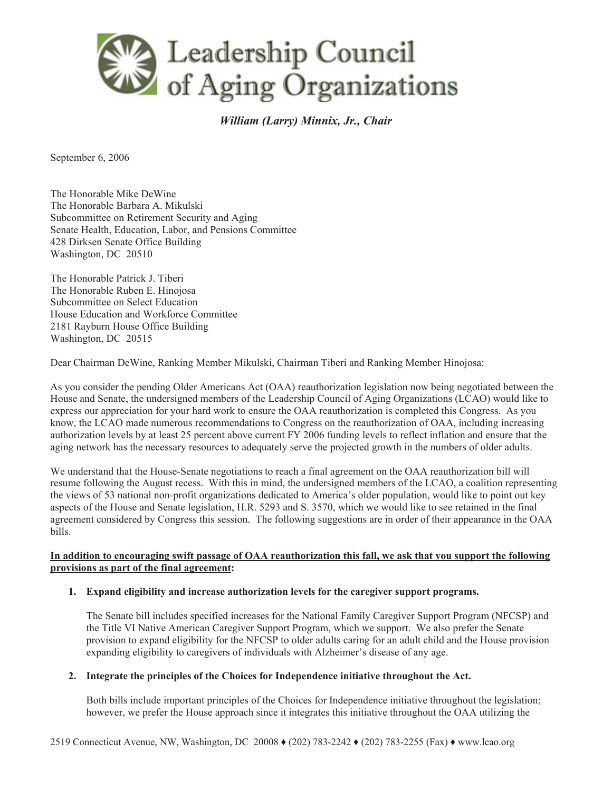

*William (Larry) Minnix, Jr., Chair* 

September 6, 2006

The Honorable Mike DeWine The Honorable Barbara A. Mikulski Subcommittee on Retirement Security and Aging Senate Health, Education, Labor, and Pensions Committee 428 Dirksen Senate Office Building Washington, DC 20510

The Honorable Patrick J. Tiberi The Honorable Ruben E. Hinojosa Subcommittee on Select Education House Education and Workforce Committee 2181 Rayburn House Office Building Washington, DC 20515

Dear Chairman DeWine, Ranking Member Mikulski, Chairman Tiberi and Ranking Member Hinojosa:

As you consider the pending Older Americans Act (OAA) reauthorization legislation now being negotiated between the House and Senate, the undersigned members of the Leadership Council of Aging Organizations (LCAO) would like to express our appreciation for your hard work to ensure the OAA reauthorization is completed this Congress. As you know, the LCAO made numerous recommendations to Congress on the reauthorization of OAA, including increasing authorization levels by at least 25 percent above current FY 2006 funding levels to reflect inflation and ensure that the aging network has the necessary resources to adequately serve the projected growth in the numbers of older adults.

We understand that the House-Senate negotiations to reach a final agreement on the OAA reauthorization bill will resume following the August recess. With this in mind, the undersigned members of the LCAO, a coalition representing the views of 53 national non-profit organizations dedicated to America's older population, would like to point out key aspects of the House and Senate legislation, H.R. 5293 and S. 3570, which we would like to see retained in the final agreement considered by Congress this session. The following suggestions are in order of their appearance in the OAA bills.

# **In addition to encouraging swift passage of OAA reauthorization this fall, we ask that you support the following provisions as part of the final agreement:**

### **1. Expand eligibility and increase authorization levels for the caregiver support programs.**

The Senate bill includes specified increases for the National Family Caregiver Support Program (NFCSP) and the Title VI Native American Caregiver Support Program, which we support. We also prefer the Senate provision to expand eligibility for the NFCSP to older adults caring for an adult child and the House provision expanding eligibility to caregivers of individuals with Alzheimer's disease of any age.

### **2. Integrate the principles of the Choices for Independence initiative throughout the Act.**

Both bills include important principles of the Choices for Independence initiative throughout the legislation; however, we prefer the House approach since it integrates this initiative throughout the OAA utilizing the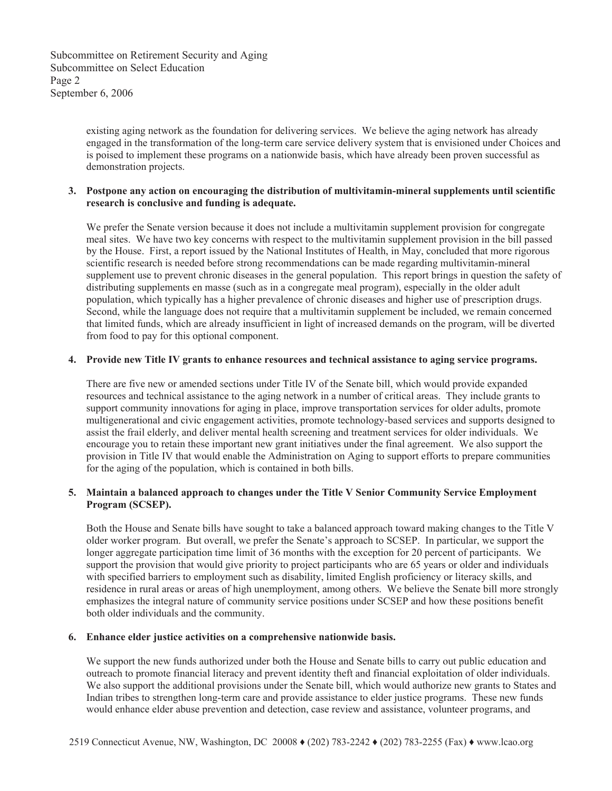Subcommittee on Retirement Security and Aging Subcommittee on Select Education Page 2 September 6, 2006

> existing aging network as the foundation for delivering services. We believe the aging network has already engaged in the transformation of the long-term care service delivery system that is envisioned under Choices and is poised to implement these programs on a nationwide basis, which have already been proven successful as demonstration projects.

### **3. Postpone any action on encouraging the distribution of multivitamin-mineral supplements until scientific research is conclusive and funding is adequate.**

We prefer the Senate version because it does not include a multivitamin supplement provision for congregate meal sites. We have two key concerns with respect to the multivitamin supplement provision in the bill passed by the House. First, a report issued by the National Institutes of Health, in May, concluded that more rigorous scientific research is needed before strong recommendations can be made regarding multivitamin-mineral supplement use to prevent chronic diseases in the general population. This report brings in question the safety of distributing supplements en masse (such as in a congregate meal program), especially in the older adult population, which typically has a higher prevalence of chronic diseases and higher use of prescription drugs. Second, while the language does not require that a multivitamin supplement be included, we remain concerned that limited funds, which are already insufficient in light of increased demands on the program, will be diverted from food to pay for this optional component.

# **4. Provide new Title IV grants to enhance resources and technical assistance to aging service programs.**

There are five new or amended sections under Title IV of the Senate bill, which would provide expanded resources and technical assistance to the aging network in a number of critical areas. They include grants to support community innovations for aging in place, improve transportation services for older adults, promote multigenerational and civic engagement activities, promote technology-based services and supports designed to assist the frail elderly, and deliver mental health screening and treatment services for older individuals. We encourage you to retain these important new grant initiatives under the final agreement. We also support the provision in Title IV that would enable the Administration on Aging to support efforts to prepare communities for the aging of the population, which is contained in both bills.

# **5. Maintain a balanced approach to changes under the Title V Senior Community Service Employment Program (SCSEP).**

Both the House and Senate bills have sought to take a balanced approach toward making changes to the Title V older worker program. But overall, we prefer the Senate's approach to SCSEP. In particular, we support the longer aggregate participation time limit of 36 months with the exception for 20 percent of participants. We support the provision that would give priority to project participants who are 65 years or older and individuals with specified barriers to employment such as disability, limited English proficiency or literacy skills, and residence in rural areas or areas of high unemployment, among others. We believe the Senate bill more strongly emphasizes the integral nature of community service positions under SCSEP and how these positions benefit both older individuals and the community.

### **6. Enhance elder justice activities on a comprehensive nationwide basis.**

We support the new funds authorized under both the House and Senate bills to carry out public education and outreach to promote financial literacy and prevent identity theft and financial exploitation of older individuals. We also support the additional provisions under the Senate bill, which would authorize new grants to States and Indian tribes to strengthen long-term care and provide assistance to elder justice programs. These new funds would enhance elder abuse prevention and detection, case review and assistance, volunteer programs, and